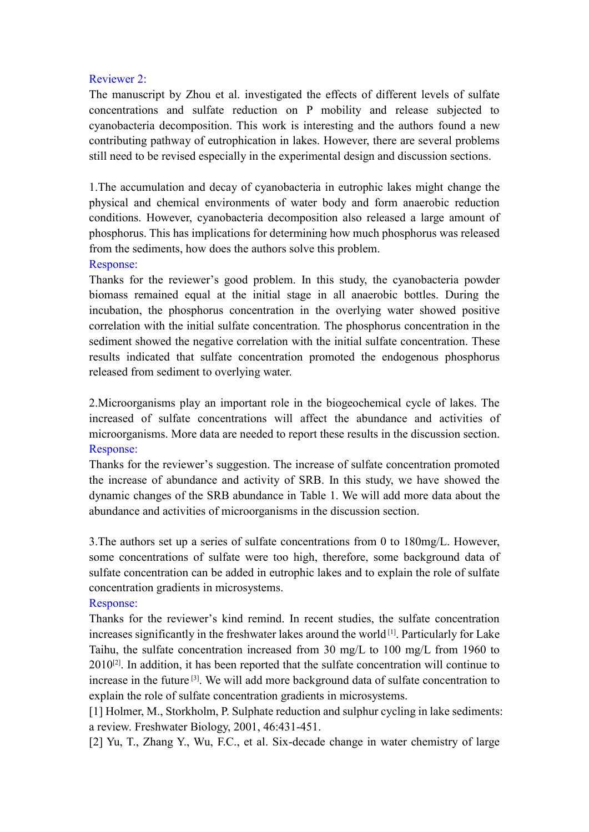### Reviewer 2:

The manuscript by Zhou et al. investigated the effects of different levels of sulfate concentrations and sulfate reduction on P mobility and release subjected to cyanobacteria decomposition. This work is interesting and the authors found a new contributing pathway of eutrophication in lakes. However, there are several problems still need to be revised especially in the experimental design and discussion sections.

1.The accumulation and decay of cyanobacteria in eutrophic lakes might change the physical and chemical environments of water body and form anaerobic reduction conditions. However, cyanobacteria decomposition also released a large amount of phosphorus. This has implications for determining how much phosphorus was released from the sediments, how does the authors solve this problem.

### Response:

Thanks for the reviewer's good problem. In this study, the cyanobacteria powder biomass remained equal at the initial stage in all anaerobic bottles. During the incubation, the phosphorus concentration in the overlying water showed positive correlation with the initial sulfate concentration. The phosphorus concentration in the sediment showed the negative correlation with the initial sulfate concentration. These results indicated that sulfate concentration promoted the endogenous phosphorus released from sediment to overlying water.

2.Microorganisms play an important role in the biogeochemical cycle of lakes. The increased of sulfate concentrations will affect the abundance and activities of microorganisms. More data are needed to report these results in the discussion section. Response:

Thanks for the reviewer's suggestion. The increase of sulfate concentration promoted the increase of abundance and activity of SRB. In this study, we have showed the dynamic changes of the SRB abundance in Table 1. We will add more data about the abundance and activities of microorganisms in the discussion section.

3.The authors set up a series of sulfate concentrations from 0 to 180mg/L. However, some concentrations of sulfate were too high, therefore, some background data of sulfate concentration can be added in eutrophic lakes and to explain the role of sulfate concentration gradients in microsystems.

### Response:

Thanks for the reviewer's kind remind. In recent studies, the sulfate concentration increases significantly in the freshwater lakes around the world<sup>[1]</sup>. Particularly for Lake Taihu, the sulfate concentration increased from 30 mg/L to 100 mg/L from 1960 to  $2010^{[2]}$ . In addition, it has been reported that the sulfate concentration will continue to increase in the future [3] . We will add more background data of sulfate concentration to explain the role of sulfate concentration gradients in microsystems.

[1] Holmer, M., Storkholm, P. Sulphate reduction and sulphur cycling in lake sediments: a review. Freshwater Biology, 2001, 46:431-451.

[2] Yu, T., Zhang Y., Wu, F.C., et al. Six-decade change in water chemistry of large